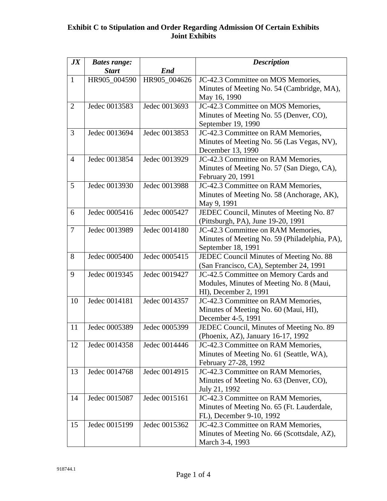| J X            | <b>Bates range:</b><br><b>Start</b> | End           | <b>Description</b>                                                               |
|----------------|-------------------------------------|---------------|----------------------------------------------------------------------------------|
| $\mathbf{1}$   | HR905_004590                        | HR905 004626  | JC-42.3 Committee on MOS Memories,                                               |
|                |                                     |               | Minutes of Meeting No. 54 (Cambridge, MA),                                       |
|                |                                     |               | May 16, 1990                                                                     |
| $\overline{2}$ | Jedec 0013583                       | Jedec 0013693 | JC-42.3 Committee on MOS Memories,                                               |
|                |                                     |               | Minutes of Meeting No. 55 (Denver, CO),                                          |
|                |                                     |               | September 19, 1990                                                               |
| 3              | Jedec 0013694                       | Jedec 0013853 | JC-42.3 Committee on RAM Memories,                                               |
|                |                                     |               | Minutes of Meeting No. 56 (Las Vegas, NV),                                       |
|                |                                     |               | December 13, 1990                                                                |
| $\overline{4}$ | Jedec 0013854                       | Jedec 0013929 | JC-42.3 Committee on RAM Memories,                                               |
|                |                                     |               | Minutes of Meeting No. 57 (San Diego, CA),                                       |
|                |                                     |               | February 20, 1991                                                                |
| 5              | Jedec 0013930                       | Jedec 0013988 | JC-42.3 Committee on RAM Memories,                                               |
|                |                                     |               | Minutes of Meeting No. 58 (Anchorage, AK),                                       |
|                |                                     |               | May 9, 1991                                                                      |
| 6              | Jedec 0005416                       | Jedec 0005427 | JEDEC Council, Minutes of Meeting No. 87                                         |
|                |                                     |               | (Pittsburgh, PA), June 19-20, 1991                                               |
| $\overline{7}$ | Jedec 0013989                       | Jedec 0014180 | JC-42.3 Committee on RAM Memories,                                               |
|                |                                     |               | Minutes of Meeting No. 59 (Philadelphia, PA),                                    |
|                |                                     |               | September 18, 1991                                                               |
| 8              | Jedec 0005400                       | Jedec 0005415 | JEDEC Council Minutes of Meeting No. 88                                          |
| 9              | Jedec 0019345                       | Jedec 0019427 | (San Francisco, CA), September 24, 1991<br>JC-42.5 Committee on Memory Cards and |
|                |                                     |               | Modules, Minutes of Meeting No. 8 (Maui,                                         |
|                |                                     |               | HI), December 2, 1991                                                            |
| 10             | Jedec 0014181                       | Jedec 0014357 | JC-42.3 Committee on RAM Memories,                                               |
|                |                                     |               | Minutes of Meeting No. 60 (Maui, HI),                                            |
|                |                                     |               | December 4-5, 1991                                                               |
| 11             | Jedec 0005389                       | Jedec 0005399 | JEDEC Council, Minutes of Meeting No. 89                                         |
|                |                                     |               | (Phoenix, AZ), January 16-17, 1992                                               |
| 12             | Jedec 0014358                       | Jedec 0014446 | JC-42.3 Committee on RAM Memories,                                               |
|                |                                     |               | Minutes of Meeting No. 61 (Seattle, WA),                                         |
|                |                                     |               | February 27-28, 1992                                                             |
| 13             | Jedec 0014768                       | Jedec 0014915 | JC-42.3 Committee on RAM Memories,                                               |
|                |                                     |               | Minutes of Meeting No. 63 (Denver, CO),                                          |
|                |                                     |               | July 21, 1992                                                                    |
| 14             | Jedec 0015087                       | Jedec 0015161 | JC-42.3 Committee on RAM Memories,                                               |
|                |                                     |               | Minutes of Meeting No. 65 (Ft. Lauderdale,                                       |
|                |                                     |               | FL), December 9-10, 1992                                                         |
| 15             | Jedec 0015199                       | Jedec 0015362 | JC-42.3 Committee on RAM Memories,                                               |
|                |                                     |               | Minutes of Meeting No. 66 (Scottsdale, AZ),                                      |
|                |                                     |               | March 3-4, 1993                                                                  |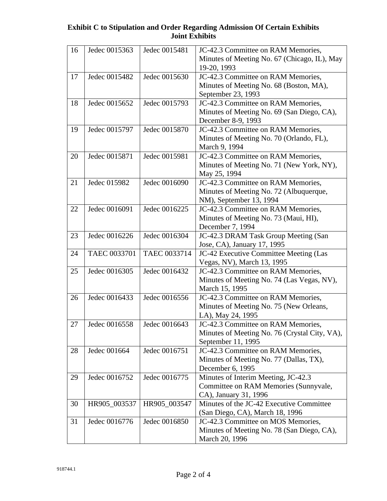| 16 | Jedec 0015363 | Jedec 0015481 | JC-42.3 Committee on RAM Memories,                                            |
|----|---------------|---------------|-------------------------------------------------------------------------------|
|    |               |               | Minutes of Meeting No. 67 (Chicago, IL), May<br>19-20, 1993                   |
| 17 | Jedec 0015482 | Jedec 0015630 | JC-42.3 Committee on RAM Memories,                                            |
|    |               |               | Minutes of Meeting No. 68 (Boston, MA),                                       |
|    |               |               | September 23, 1993                                                            |
| 18 | Jedec 0015652 | Jedec 0015793 | JC-42.3 Committee on RAM Memories,                                            |
|    |               |               | Minutes of Meeting No. 69 (San Diego, CA),                                    |
|    |               |               | December 8-9, 1993                                                            |
| 19 | Jedec 0015797 | Jedec 0015870 | JC-42.3 Committee on RAM Memories,                                            |
|    |               |               | Minutes of Meeting No. 70 (Orlando, FL),<br>March 9, 1994                     |
| 20 | Jedec 0015871 | Jedec 0015981 | JC-42.3 Committee on RAM Memories,                                            |
|    |               |               | Minutes of Meeting No. 71 (New York, NY),                                     |
|    |               |               | May 25, 1994                                                                  |
| 21 | Jedec 015982  | Jedec 0016090 | JC-42.3 Committee on RAM Memories,                                            |
|    |               |               | Minutes of Meeting No. 72 (Albuquerque,                                       |
|    |               |               | NM), September 13, 1994                                                       |
| 22 | Jedec 0016091 | Jedec 0016225 | JC-42.3 Committee on RAM Memories,                                            |
|    |               |               | Minutes of Meeting No. 73 (Maui, HI),                                         |
|    |               |               | December 7, 1994                                                              |
| 23 | Jedec 0016226 | Jedec 0016304 | JC-42.3 DRAM Task Group Meeting (San                                          |
|    |               |               | Jose, CA), January 17, 1995                                                   |
| 24 | TAEC 0033701  | TAEC 0033714  | JC-42 Executive Committee Meeting (Las                                        |
|    |               |               | Vegas, NV), March 13, 1995                                                    |
| 25 | Jedec 0016305 | Jedec 0016432 | JC-42.3 Committee on RAM Memories,                                            |
|    |               |               | Minutes of Meeting No. 74 (Las Vegas, NV),                                    |
|    |               |               | March 15, 1995                                                                |
| 26 | Jedec 0016433 | Jedec 0016556 | JC-42.3 Committee on RAM Memories,<br>Minutes of Meeting No. 75 (New Orleans, |
|    |               |               | LA), May 24, 1995                                                             |
| 27 | Jedec 0016558 | Jedec 0016643 | JC-42.3 Committee on RAM Memories,                                            |
|    |               |               | Minutes of Meeting No. 76 (Crystal City, VA),                                 |
|    |               |               | September 11, 1995                                                            |
| 28 | Jedec 001664  | Jedec 0016751 | JC-42.3 Committee on RAM Memories,                                            |
|    |               |               | Minutes of Meeting No. 77 (Dallas, TX),                                       |
|    |               |               | December 6, 1995                                                              |
| 29 | Jedec 0016752 | Jedec 0016775 | Minutes of Interim Meeting, JC-42.3                                           |
|    |               |               | Committee on RAM Memories (Sunnyvale,                                         |
|    |               |               | CA), January 31, 1996                                                         |
| 30 | HR905_003537  | HR905 003547  | Minutes of the JC-42 Executive Committee                                      |
|    |               |               | (San Diego, CA), March 18, 1996                                               |
| 31 | Jedec 0016776 | Jedec 0016850 | JC-42.3 Committee on MOS Memories,                                            |
|    |               |               | Minutes of Meeting No. 78 (San Diego, CA),                                    |
|    |               |               | March 20, 1996                                                                |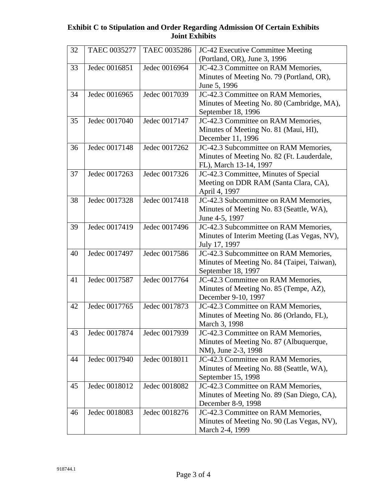| 32 | TAEC 0035277  | TAEC 0035286  | JC-42 Executive Committee Meeting           |
|----|---------------|---------------|---------------------------------------------|
|    |               |               | (Portland, OR), June 3, 1996                |
| 33 | Jedec 0016851 | Jedec 0016964 | JC-42.3 Committee on RAM Memories,          |
|    |               |               | Minutes of Meeting No. 79 (Portland, OR),   |
|    |               |               | June 5, 1996                                |
| 34 | Jedec 0016965 | Jedec 0017039 | JC-42.3 Committee on RAM Memories,          |
|    |               |               | Minutes of Meeting No. 80 (Cambridge, MA),  |
|    |               |               | September 18, 1996                          |
| 35 | Jedec 0017040 | Jedec 0017147 | JC-42.3 Committee on RAM Memories,          |
|    |               |               | Minutes of Meeting No. 81 (Maui, HI),       |
|    |               |               | December 11, 1996                           |
| 36 | Jedec 0017148 | Jedec 0017262 | JC-42.3 Subcommittee on RAM Memories,       |
|    |               |               | Minutes of Meeting No. 82 (Ft. Lauderdale,  |
|    |               |               | FL), March 13-14, 1997                      |
| 37 | Jedec 0017263 | Jedec 0017326 | JC-42.3 Committee, Minutes of Special       |
|    |               |               | Meeting on DDR RAM (Santa Clara, CA),       |
|    |               |               | April 4, 1997                               |
| 38 | Jedec 0017328 | Jedec 0017418 | JC-42.3 Subcommittee on RAM Memories,       |
|    |               |               | Minutes of Meeting No. 83 (Seattle, WA),    |
|    |               |               | June 4-5, 1997                              |
| 39 | Jedec 0017419 | Jedec 0017496 | JC-42.3 Subcommittee on RAM Memories,       |
|    |               |               | Minutes of Interim Meeting (Las Vegas, NV), |
|    |               |               | July 17, 1997                               |
| 40 | Jedec 0017497 | Jedec 0017586 | JC-42.3 Subcommittee on RAM Memories,       |
|    |               |               | Minutes of Meeting No. 84 (Taipei, Taiwan), |
|    |               |               | September 18, 1997                          |
| 41 | Jedec 0017587 | Jedec 0017764 | JC-42.3 Committee on RAM Memories,          |
|    |               |               | Minutes of Meeting No. 85 (Tempe, AZ),      |
|    |               |               | December 9-10, 1997                         |
| 42 | Jedec 0017765 | Jedec 0017873 | JC-42.3 Committee on RAM Memories,          |
|    |               |               | Minutes of Meeting No. 86 (Orlando, FL),    |
|    |               |               | March 3, 1998                               |
| 43 | Jedec 0017874 | Jedec 0017939 | JC-42.3 Committee on RAM Memories,          |
|    |               |               | Minutes of Meeting No. 87 (Albuquerque,     |
|    |               |               | NM), June 2-3, 1998                         |
| 44 | Jedec 0017940 | Jedec 0018011 | JC-42.3 Committee on RAM Memories,          |
|    |               |               | Minutes of Meeting No. 88 (Seattle, WA),    |
|    |               |               | September 15, 1998                          |
| 45 | Jedec 0018012 | Jedec 0018082 | JC-42.3 Committee on RAM Memories,          |
|    |               |               | Minutes of Meeting No. 89 (San Diego, CA),  |
|    |               |               | December 8-9, 1998                          |
| 46 | Jedec 0018083 | Jedec 0018276 | JC-42.3 Committee on RAM Memories,          |
|    |               |               | Minutes of Meeting No. 90 (Las Vegas, NV),  |
|    |               |               | March 2-4, 1999                             |